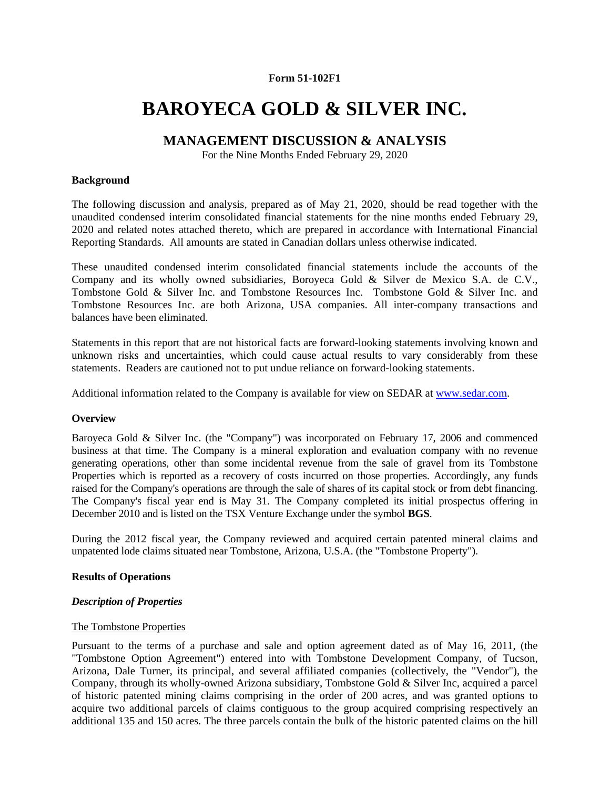#### **Form 51-102F1**

# **BAROYECA GOLD & SILVER INC.**

# **MANAGEMENT DISCUSSION & ANALYSIS**

For the Nine Months Ended February 29, 2020

#### **Background**

The following discussion and analysis, prepared as of May 21, 2020, should be read together with the unaudited condensed interim consolidated financial statements for the nine months ended February 29, 2020 and related notes attached thereto, which are prepared in accordance with International Financial Reporting Standards. All amounts are stated in Canadian dollars unless otherwise indicated.

These unaudited condensed interim consolidated financial statements include the accounts of the Company and its wholly owned subsidiaries, Boroyeca Gold & Silver de Mexico S.A. de C.V., Tombstone Gold & Silver Inc. and Tombstone Resources Inc. Tombstone Gold & Silver Inc. and Tombstone Resources Inc. are both Arizona, USA companies. All inter-company transactions and balances have been eliminated.

Statements in this report that are not historical facts are forward-looking statements involving known and unknown risks and uncertainties, which could cause actual results to vary considerably from these statements. Readers are cautioned not to put undue reliance on forward-looking statements.

Additional information related to the Company is available for view on SEDAR at www.sedar.com.

#### **Overview**

Baroyeca Gold & Silver Inc. (the "Company") was incorporated on February 17, 2006 and commenced business at that time. The Company is a mineral exploration and evaluation company with no revenue generating operations, other than some incidental revenue from the sale of gravel from its Tombstone Properties which is reported as a recovery of costs incurred on those properties. Accordingly, any funds raised for the Company's operations are through the sale of shares of its capital stock or from debt financing. The Company's fiscal year end is May 31. The Company completed its initial prospectus offering in December 2010 and is listed on the TSX Venture Exchange under the symbol **BGS**.

During the 2012 fiscal year, the Company reviewed and acquired certain patented mineral claims and unpatented lode claims situated near Tombstone, Arizona, U.S.A. (the "Tombstone Property").

#### **Results of Operations**

#### *Description of Properties*

#### The Tombstone Properties

Pursuant to the terms of a purchase and sale and option agreement dated as of May 16, 2011, (the "Tombstone Option Agreement") entered into with Tombstone Development Company, of Tucson, Arizona, Dale Turner, its principal, and several affiliated companies (collectively, the "Vendor"), the Company, through its wholly-owned Arizona subsidiary, Tombstone Gold & Silver Inc, acquired a parcel of historic patented mining claims comprising in the order of 200 acres, and was granted options to acquire two additional parcels of claims contiguous to the group acquired comprising respectively an additional 135 and 150 acres. The three parcels contain the bulk of the historic patented claims on the hill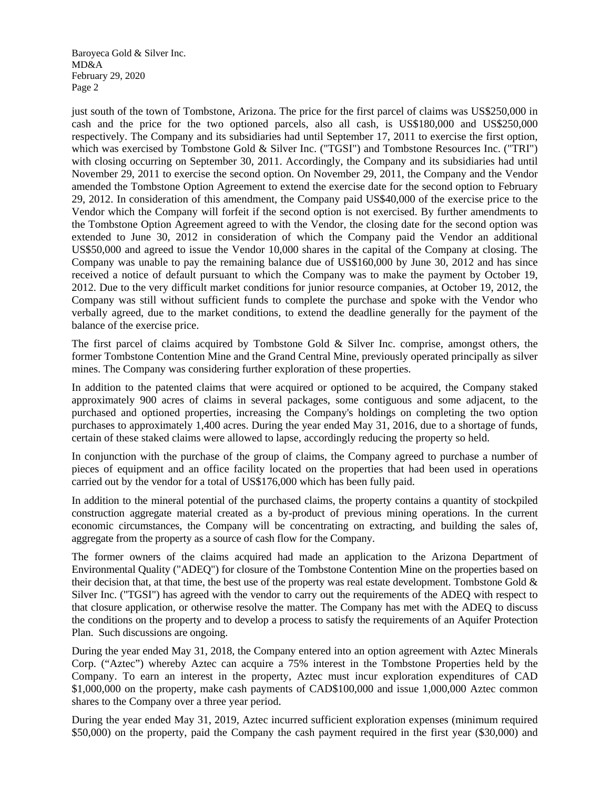just south of the town of Tombstone, Arizona. The price for the first parcel of claims was US\$250,000 in cash and the price for the two optioned parcels, also all cash, is US\$180,000 and US\$250,000 respectively. The Company and its subsidiaries had until September 17, 2011 to exercise the first option, which was exercised by Tombstone Gold & Silver Inc. ("TGSI") and Tombstone Resources Inc. ("TRI") with closing occurring on September 30, 2011. Accordingly, the Company and its subsidiaries had until November 29, 2011 to exercise the second option. On November 29, 2011, the Company and the Vendor amended the Tombstone Option Agreement to extend the exercise date for the second option to February 29, 2012. In consideration of this amendment, the Company paid US\$40,000 of the exercise price to the Vendor which the Company will forfeit if the second option is not exercised. By further amendments to the Tombstone Option Agreement agreed to with the Vendor, the closing date for the second option was extended to June 30, 2012 in consideration of which the Company paid the Vendor an additional US\$50,000 and agreed to issue the Vendor 10,000 shares in the capital of the Company at closing. The Company was unable to pay the remaining balance due of US\$160,000 by June 30, 2012 and has since received a notice of default pursuant to which the Company was to make the payment by October 19, 2012. Due to the very difficult market conditions for junior resource companies, at October 19, 2012, the Company was still without sufficient funds to complete the purchase and spoke with the Vendor who verbally agreed, due to the market conditions, to extend the deadline generally for the payment of the balance of the exercise price.

The first parcel of claims acquired by Tombstone Gold & Silver Inc. comprise, amongst others, the former Tombstone Contention Mine and the Grand Central Mine, previously operated principally as silver mines. The Company was considering further exploration of these properties.

In addition to the patented claims that were acquired or optioned to be acquired, the Company staked approximately 900 acres of claims in several packages, some contiguous and some adjacent, to the purchased and optioned properties, increasing the Company's holdings on completing the two option purchases to approximately 1,400 acres. During the year ended May 31, 2016, due to a shortage of funds, certain of these staked claims were allowed to lapse, accordingly reducing the property so held.

In conjunction with the purchase of the group of claims, the Company agreed to purchase a number of pieces of equipment and an office facility located on the properties that had been used in operations carried out by the vendor for a total of US\$176,000 which has been fully paid.

In addition to the mineral potential of the purchased claims, the property contains a quantity of stockpiled construction aggregate material created as a by-product of previous mining operations. In the current economic circumstances, the Company will be concentrating on extracting, and building the sales of, aggregate from the property as a source of cash flow for the Company.

The former owners of the claims acquired had made an application to the Arizona Department of Environmental Quality ("ADEQ") for closure of the Tombstone Contention Mine on the properties based on their decision that, at that time, the best use of the property was real estate development. Tombstone Gold & Silver Inc. ("TGSI") has agreed with the vendor to carry out the requirements of the ADEQ with respect to that closure application, or otherwise resolve the matter. The Company has met with the ADEQ to discuss the conditions on the property and to develop a process to satisfy the requirements of an Aquifer Protection Plan. Such discussions are ongoing.

During the year ended May 31, 2018, the Company entered into an option agreement with Aztec Minerals Corp. ("Aztec") whereby Aztec can acquire a 75% interest in the Tombstone Properties held by the Company. To earn an interest in the property, Aztec must incur exploration expenditures of CAD \$1,000,000 on the property, make cash payments of CAD\$100,000 and issue 1,000,000 Aztec common shares to the Company over a three year period.

During the year ended May 31, 2019, Aztec incurred sufficient exploration expenses (minimum required \$50,000) on the property, paid the Company the cash payment required in the first year (\$30,000) and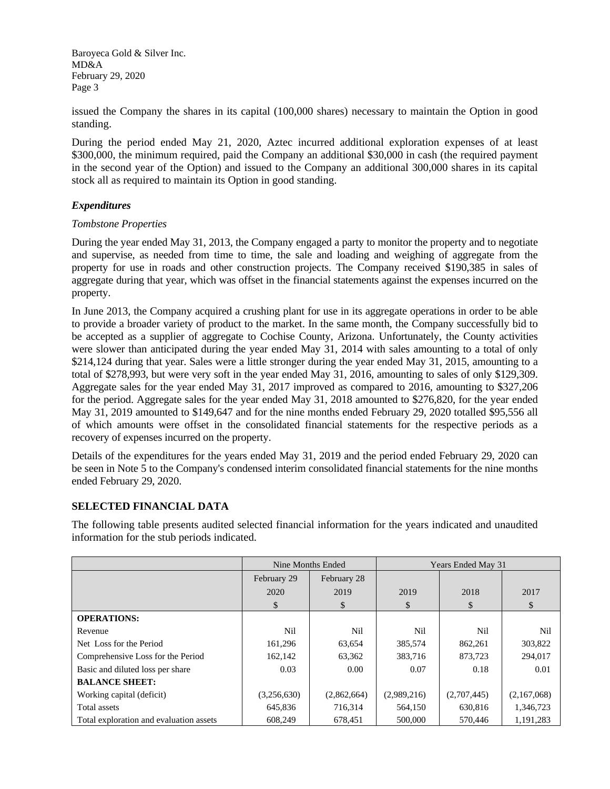issued the Company the shares in its capital (100,000 shares) necessary to maintain the Option in good standing.

During the period ended May 21, 2020, Aztec incurred additional exploration expenses of at least \$300,000, the minimum required, paid the Company an additional \$30,000 in cash (the required payment in the second year of the Option) and issued to the Company an additional 300,000 shares in its capital stock all as required to maintain its Option in good standing.

## *Expenditures*

## *Tombstone Properties*

During the year ended May 31, 2013, the Company engaged a party to monitor the property and to negotiate and supervise, as needed from time to time, the sale and loading and weighing of aggregate from the property for use in roads and other construction projects. The Company received \$190,385 in sales of aggregate during that year, which was offset in the financial statements against the expenses incurred on the property.

In June 2013, the Company acquired a crushing plant for use in its aggregate operations in order to be able to provide a broader variety of product to the market. In the same month, the Company successfully bid to be accepted as a supplier of aggregate to Cochise County, Arizona. Unfortunately, the County activities were slower than anticipated during the year ended May 31, 2014 with sales amounting to a total of only \$214,124 during that year. Sales were a little stronger during the year ended May 31, 2015, amounting to a total of \$278,993, but were very soft in the year ended May 31, 2016, amounting to sales of only \$129,309. Aggregate sales for the year ended May 31, 2017 improved as compared to 2016, amounting to \$327,206 for the period. Aggregate sales for the year ended May 31, 2018 amounted to \$276,820, for the year ended May 31, 2019 amounted to \$149,647 and for the nine months ended February 29, 2020 totalled \$95,556 all of which amounts were offset in the consolidated financial statements for the respective periods as a recovery of expenses incurred on the property.

Details of the expenditures for the years ended May 31, 2019 and the period ended February 29, 2020 can be seen in Note 5 to the Company's condensed interim consolidated financial statements for the nine months ended February 29, 2020.

## **SELECTED FINANCIAL DATA**

The following table presents audited selected financial information for the years indicated and unaudited information for the stub periods indicated.

|                                         | Nine Months Ended |             | Years Ended May 31 |             |             |
|-----------------------------------------|-------------------|-------------|--------------------|-------------|-------------|
|                                         | February 29       | February 28 |                    |             |             |
|                                         | 2020              | 2019        | 2019               | 2018        | 2017        |
|                                         | \$                | \$          | \$                 | \$          | \$          |
| <b>OPERATIONS:</b>                      |                   |             |                    |             |             |
| Revenue                                 | Nil               | Nil         | Nil                | Nil         | Nil         |
| Net Loss for the Period                 | 161,296           | 63,654      | 385,574            | 862,261     | 303,822     |
| Comprehensive Loss for the Period       | 162,142           | 63,362      | 383,716            | 873.723     | 294.017     |
| Basic and diluted loss per share        | 0.03              | 0.00        | 0.07               | 0.18        | 0.01        |
| <b>BALANCE SHEET:</b>                   |                   |             |                    |             |             |
| Working capital (deficit)               | (3,256,630)       | (2,862,664) | (2,989,216)        | (2,707,445) | (2,167,068) |
| Total assets                            | 645,836           | 716,314     | 564,150            | 630,816     | 1,346,723   |
| Total exploration and evaluation assets | 608,249           | 678.451     | 500,000            | 570,446     | 1.191.283   |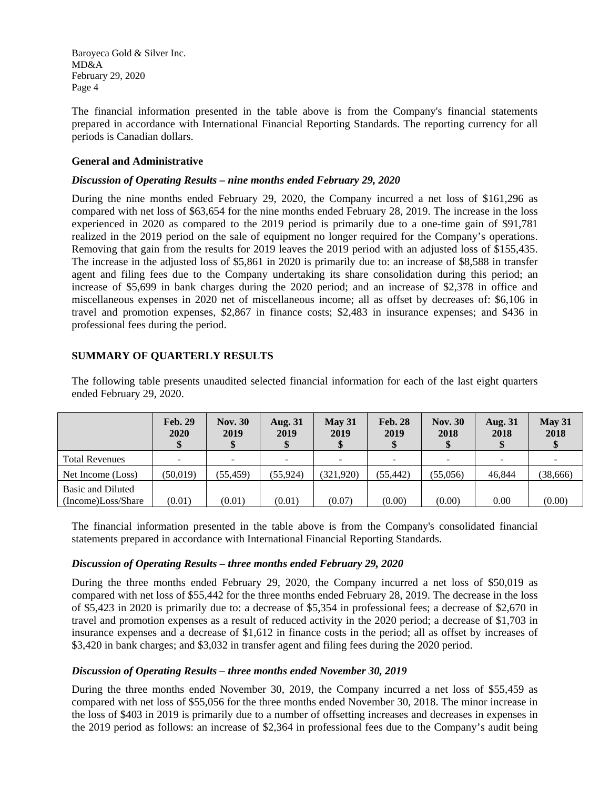The financial information presented in the table above is from the Company's financial statements prepared in accordance with International Financial Reporting Standards. The reporting currency for all periods is Canadian dollars.

## **General and Administrative**

#### *Discussion of Operating Results – nine months ended February 29, 2020*

During the nine months ended February 29, 2020, the Company incurred a net loss of \$161,296 as compared with net loss of \$63,654 for the nine months ended February 28, 2019. The increase in the loss experienced in 2020 as compared to the 2019 period is primarily due to a one-time gain of \$91,781 realized in the 2019 period on the sale of equipment no longer required for the Company's operations. Removing that gain from the results for 2019 leaves the 2019 period with an adjusted loss of \$155,435. The increase in the adjusted loss of \$5,861 in 2020 is primarily due to: an increase of \$8,588 in transfer agent and filing fees due to the Company undertaking its share consolidation during this period; an increase of \$5,699 in bank charges during the 2020 period; and an increase of \$2,378 in office and miscellaneous expenses in 2020 net of miscellaneous income; all as offset by decreases of: \$6,106 in travel and promotion expenses, \$2,867 in finance costs; \$2,483 in insurance expenses; and \$436 in professional fees during the period.

## **SUMMARY OF QUARTERLY RESULTS**

The following table presents unaudited selected financial information for each of the last eight quarters ended February 29, 2020.

|                                         | <b>Feb. 29</b><br>2020 | <b>Nov. 30</b><br>2019 | <b>Aug. 31</b><br>2019 | $\text{Mav } 31$<br>2019 | <b>Feb. 28</b><br>2019 | <b>Nov. 30</b><br>2018 | <b>Aug. 31</b><br>2018   | May 31<br>2018 |
|-----------------------------------------|------------------------|------------------------|------------------------|--------------------------|------------------------|------------------------|--------------------------|----------------|
| <b>Total Revenues</b>                   | $\sim$                 |                        |                        | -                        |                        | -                      | $\overline{\phantom{0}}$ |                |
| Net Income (Loss)                       | (50,019)               | (55, 459)              | (55, 924)              | (321, 920)               | (55, 442)              | (55,056)               | 46.844                   | (38, 666)      |
| Basic and Diluted<br>(Income)Loss/Share | (0.01)                 | (0.01)                 | (0.01)                 | (0.07)                   | (0.00)                 | (0.00)                 | 0.00                     | (0.00)         |

The financial information presented in the table above is from the Company's consolidated financial statements prepared in accordance with International Financial Reporting Standards.

#### *Discussion of Operating Results – three months ended February 29, 2020*

During the three months ended February 29, 2020, the Company incurred a net loss of \$50,019 as compared with net loss of \$55,442 for the three months ended February 28, 2019. The decrease in the loss of \$5,423 in 2020 is primarily due to: a decrease of \$5,354 in professional fees; a decrease of \$2,670 in travel and promotion expenses as a result of reduced activity in the 2020 period; a decrease of \$1,703 in insurance expenses and a decrease of \$1,612 in finance costs in the period; all as offset by increases of \$3,420 in bank charges; and \$3,032 in transfer agent and filing fees during the 2020 period.

## *Discussion of Operating Results – three months ended November 30, 2019*

During the three months ended November 30, 2019, the Company incurred a net loss of \$55,459 as compared with net loss of \$55,056 for the three months ended November 30, 2018. The minor increase in the loss of \$403 in 2019 is primarily due to a number of offsetting increases and decreases in expenses in the 2019 period as follows: an increase of \$2,364 in professional fees due to the Company's audit being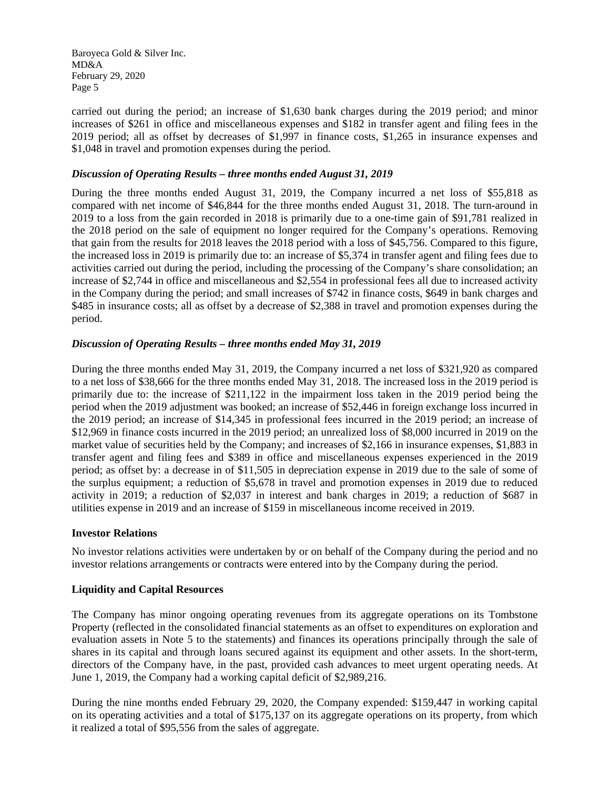carried out during the period; an increase of \$1,630 bank charges during the 2019 period; and minor increases of \$261 in office and miscellaneous expenses and \$182 in transfer agent and filing fees in the 2019 period; all as offset by decreases of \$1,997 in finance costs, \$1,265 in insurance expenses and \$1,048 in travel and promotion expenses during the period.

#### *Discussion of Operating Results – three months ended August 31, 2019*

During the three months ended August 31, 2019, the Company incurred a net loss of \$55,818 as compared with net income of \$46,844 for the three months ended August 31, 2018. The turn-around in 2019 to a loss from the gain recorded in 2018 is primarily due to a one-time gain of \$91,781 realized in the 2018 period on the sale of equipment no longer required for the Company's operations. Removing that gain from the results for 2018 leaves the 2018 period with a loss of \$45,756. Compared to this figure, the increased loss in 2019 is primarily due to: an increase of \$5,374 in transfer agent and filing fees due to activities carried out during the period, including the processing of the Company's share consolidation; an increase of \$2,744 in office and miscellaneous and \$2,554 in professional fees all due to increased activity in the Company during the period; and small increases of \$742 in finance costs, \$649 in bank charges and \$485 in insurance costs; all as offset by a decrease of \$2,388 in travel and promotion expenses during the period.

## *Discussion of Operating Results – three months ended May 31, 2019*

During the three months ended May 31, 2019, the Company incurred a net loss of \$321,920 as compared to a net loss of \$38,666 for the three months ended May 31, 2018. The increased loss in the 2019 period is primarily due to: the increase of \$211,122 in the impairment loss taken in the 2019 period being the period when the 2019 adjustment was booked; an increase of \$52,446 in foreign exchange loss incurred in the 2019 period; an increase of \$14,345 in professional fees incurred in the 2019 period; an increase of \$12,969 in finance costs incurred in the 2019 period; an unrealized loss of \$8,000 incurred in 2019 on the market value of securities held by the Company; and increases of \$2,166 in insurance expenses, \$1,883 in transfer agent and filing fees and \$389 in office and miscellaneous expenses experienced in the 2019 period; as offset by: a decrease in of \$11,505 in depreciation expense in 2019 due to the sale of some of the surplus equipment; a reduction of \$5,678 in travel and promotion expenses in 2019 due to reduced activity in 2019; a reduction of \$2,037 in interest and bank charges in 2019; a reduction of \$687 in utilities expense in 2019 and an increase of \$159 in miscellaneous income received in 2019.

#### **Investor Relations**

No investor relations activities were undertaken by or on behalf of the Company during the period and no investor relations arrangements or contracts were entered into by the Company during the period.

#### **Liquidity and Capital Resources**

The Company has minor ongoing operating revenues from its aggregate operations on its Tombstone Property (reflected in the consolidated financial statements as an offset to expenditures on exploration and evaluation assets in Note 5 to the statements) and finances its operations principally through the sale of shares in its capital and through loans secured against its equipment and other assets. In the short-term, directors of the Company have, in the past, provided cash advances to meet urgent operating needs. At June 1, 2019, the Company had a working capital deficit of \$2,989,216.

During the nine months ended February 29, 2020, the Company expended: \$159,447 in working capital on its operating activities and a total of \$175,137 on its aggregate operations on its property, from which it realized a total of \$95,556 from the sales of aggregate.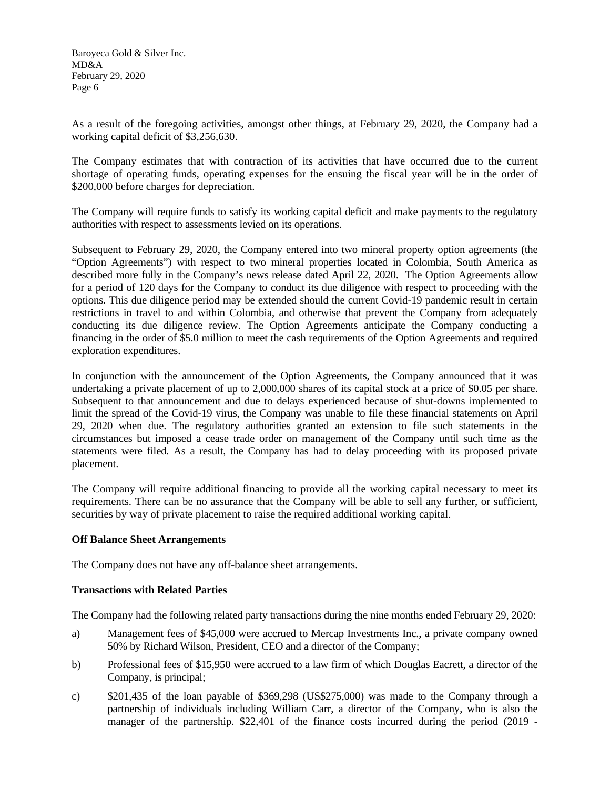As a result of the foregoing activities, amongst other things, at February 29, 2020, the Company had a working capital deficit of \$3,256,630.

The Company estimates that with contraction of its activities that have occurred due to the current shortage of operating funds, operating expenses for the ensuing the fiscal year will be in the order of \$200,000 before charges for depreciation.

The Company will require funds to satisfy its working capital deficit and make payments to the regulatory authorities with respect to assessments levied on its operations.

Subsequent to February 29, 2020, the Company entered into two mineral property option agreements (the "Option Agreements") with respect to two mineral properties located in Colombia, South America as described more fully in the Company's news release dated April 22, 2020. The Option Agreements allow for a period of 120 days for the Company to conduct its due diligence with respect to proceeding with the options. This due diligence period may be extended should the current Covid-19 pandemic result in certain restrictions in travel to and within Colombia, and otherwise that prevent the Company from adequately conducting its due diligence review. The Option Agreements anticipate the Company conducting a financing in the order of \$5.0 million to meet the cash requirements of the Option Agreements and required exploration expenditures.

In conjunction with the announcement of the Option Agreements, the Company announced that it was undertaking a private placement of up to 2,000,000 shares of its capital stock at a price of \$0.05 per share. Subsequent to that announcement and due to delays experienced because of shut-downs implemented to limit the spread of the Covid-19 virus, the Company was unable to file these financial statements on April 29, 2020 when due. The regulatory authorities granted an extension to file such statements in the circumstances but imposed a cease trade order on management of the Company until such time as the statements were filed. As a result, the Company has had to delay proceeding with its proposed private placement.

The Company will require additional financing to provide all the working capital necessary to meet its requirements. There can be no assurance that the Company will be able to sell any further, or sufficient, securities by way of private placement to raise the required additional working capital.

## **Off Balance Sheet Arrangements**

The Company does not have any off-balance sheet arrangements.

## **Transactions with Related Parties**

The Company had the following related party transactions during the nine months ended February 29, 2020:

- a) Management fees of \$45,000 were accrued to Mercap Investments Inc., a private company owned 50% by Richard Wilson, President, CEO and a director of the Company;
- b) Professional fees of \$15,950 were accrued to a law firm of which Douglas Eacrett, a director of the Company, is principal;
- c) \$201,435 of the loan payable of \$369,298 (US\$275,000) was made to the Company through a partnership of individuals including William Carr, a director of the Company, who is also the manager of the partnership. \$22,401 of the finance costs incurred during the period (2019 -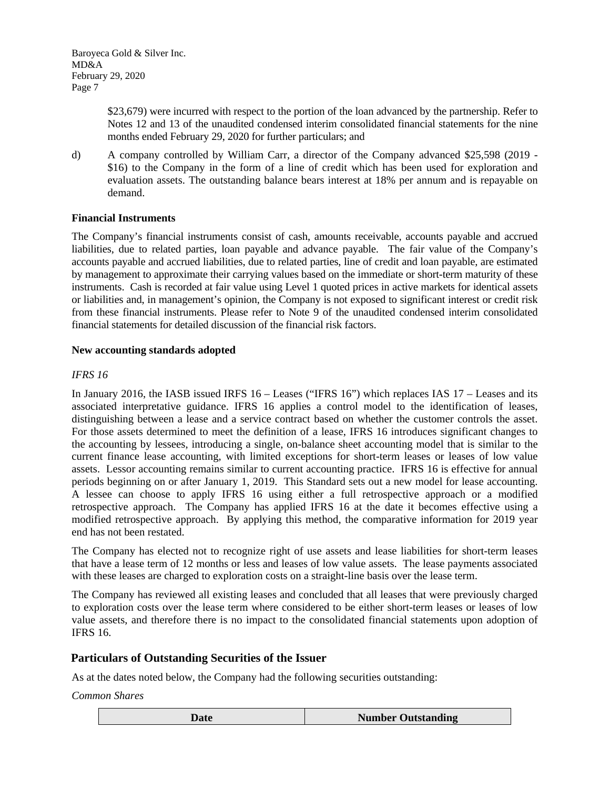> \$23,679) were incurred with respect to the portion of the loan advanced by the partnership. Refer to Notes 12 and 13 of the unaudited condensed interim consolidated financial statements for the nine months ended February 29, 2020 for further particulars; and

d) A company controlled by William Carr, a director of the Company advanced \$25,598 (2019 - \$16) to the Company in the form of a line of credit which has been used for exploration and evaluation assets. The outstanding balance bears interest at 18% per annum and is repayable on demand.

## **Financial Instruments**

The Company's financial instruments consist of cash, amounts receivable, accounts payable and accrued liabilities, due to related parties, loan payable and advance payable. The fair value of the Company's accounts payable and accrued liabilities, due to related parties, line of credit and loan payable, are estimated by management to approximate their carrying values based on the immediate or short-term maturity of these instruments. Cash is recorded at fair value using Level 1 quoted prices in active markets for identical assets or liabilities and, in management's opinion, the Company is not exposed to significant interest or credit risk from these financial instruments. Please refer to Note 9 of the unaudited condensed interim consolidated financial statements for detailed discussion of the financial risk factors.

#### **New accounting standards adopted**

#### *IFRS 16*

In January 2016, the IASB issued IRFS 16 – Leases ("IFRS 16") which replaces IAS 17 – Leases and its associated interpretative guidance. IFRS 16 applies a control model to the identification of leases, distinguishing between a lease and a service contract based on whether the customer controls the asset. For those assets determined to meet the definition of a lease, IFRS 16 introduces significant changes to the accounting by lessees, introducing a single, on-balance sheet accounting model that is similar to the current finance lease accounting, with limited exceptions for short-term leases or leases of low value assets. Lessor accounting remains similar to current accounting practice. IFRS 16 is effective for annual periods beginning on or after January 1, 2019. This Standard sets out a new model for lease accounting. A lessee can choose to apply IFRS 16 using either a full retrospective approach or a modified retrospective approach. The Company has applied IFRS 16 at the date it becomes effective using a modified retrospective approach. By applying this method, the comparative information for 2019 year end has not been restated.

The Company has elected not to recognize right of use assets and lease liabilities for short-term leases that have a lease term of 12 months or less and leases of low value assets. The lease payments associated with these leases are charged to exploration costs on a straight-line basis over the lease term.

The Company has reviewed all existing leases and concluded that all leases that were previously charged to exploration costs over the lease term where considered to be either short-term leases or leases of low value assets, and therefore there is no impact to the consolidated financial statements upon adoption of IFRS 16.

## **Particulars of Outstanding Securities of the Issuer**

As at the dates noted below, the Company had the following securities outstanding:

*Common Shares*

| <b>Number Outstanding</b> |
|---------------------------|
|                           |